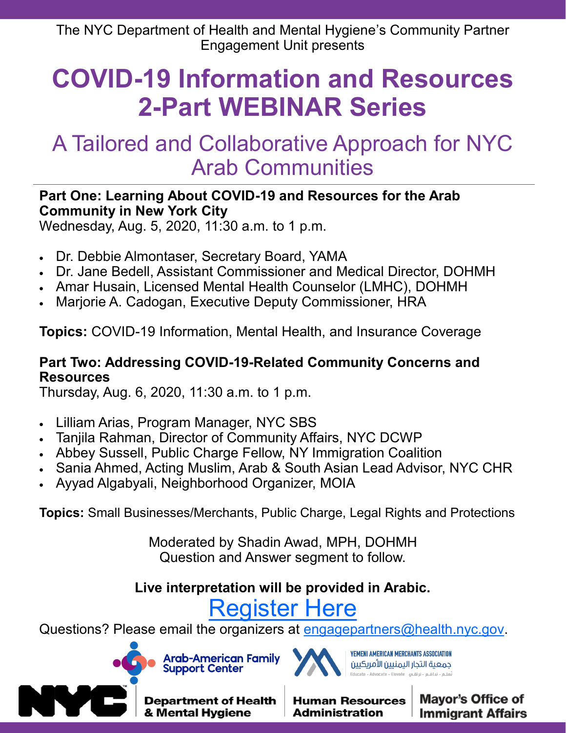# **COVID-19 Information and Resources 2-Part WEBINAR Series**

## A Tailored and Collaborative Approach for NYC Arab Communities

#### **Part One: Learning About COVID-19 and Resources for the Arab Community in New York City**

Wednesday, Aug. 5, 2020, 11:30 a.m. to 1 p.m.

- Dr. Debbie Almontaser, Secretary Board, YAMA
- Dr. Jane Bedell, Assistant Commissioner and Medical Director, DOHMH
- Amar Husain, Licensed Mental Health Counselor (LMHC), DOHMH
- Marjorie A. Cadogan, Executive Deputy Commissioner, HRA

**Topics:** COVID-19 Information, Mental Health, and Insurance Coverage

#### **Part Two: Addressing COVID-19-Related Community Concerns and Resources**

Thursday, Aug. 6, 2020, 11:30 a.m. to 1 p.m.

- Lilliam Arias, Program Manager, NYC SBS
- Tanjila Rahman, Director of Community Affairs, NYC DCWP
- Abbey Sussell, Public Charge Fellow, NY Immigration Coalition
- Sania Ahmed, Acting Muslim, Arab & South Asian Lead Advisor, NYC CHR
- Ayyad Algabyali, Neighborhood Organizer, MOIA

**Topics:** Small Businesses/Merchants, Public Charge, Legal Rights and Protections

Moderated by Shadin Awad, MPH, DOHMH Question and Answer segment to follow.

### **Live interpretation will be provided in Arabic.**

## [Register Here](https://www.surveygizmo.com/s3/5559300/COVID-19-Partner-Initiative-Enrollment?campaignid=7014V000001yw4H&eventid=a1Q4V00002IhpyH&source=invitation)

Questions? Please email the organizers at [engagepartners@health.nyc.gov.](mailto:engagepartners@health.nyc.gov)







YEMENI AMERICAN MERCHANTS ASSOCIATION جمعية التجار اليمنيين الأمريكيين

**Human Resources Administration**